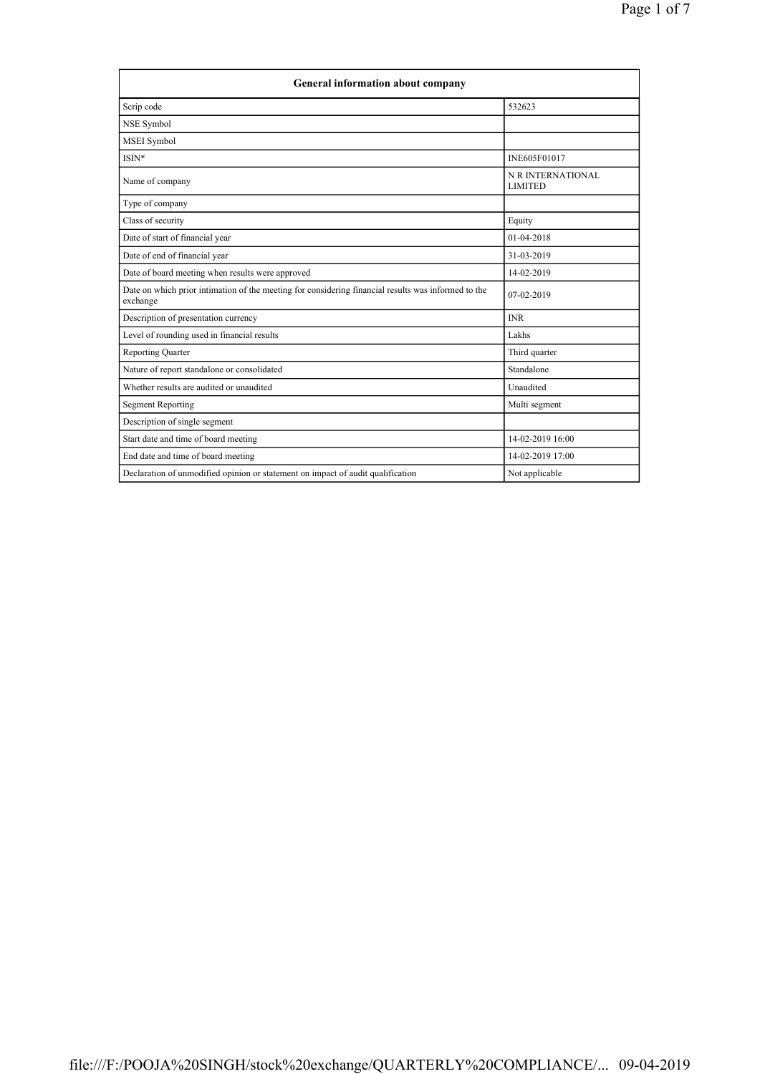| <b>General information about company</b>                                                                        |                                     |  |
|-----------------------------------------------------------------------------------------------------------------|-------------------------------------|--|
| Scrip code                                                                                                      | 532623                              |  |
| NSE Symbol                                                                                                      |                                     |  |
| MSEI Symbol                                                                                                     |                                     |  |
| ISIN*                                                                                                           | INE605F01017                        |  |
| Name of company                                                                                                 | N R INTERNATIONAL<br><b>LIMITED</b> |  |
| Type of company                                                                                                 |                                     |  |
| Class of security                                                                                               | Equity                              |  |
| Date of start of financial year                                                                                 | $01-04-2018$                        |  |
| Date of end of financial year                                                                                   | 31-03-2019                          |  |
| Date of board meeting when results were approved                                                                | 14-02-2019                          |  |
| Date on which prior intimation of the meeting for considering financial results was informed to the<br>exchange | $07-02-2019$                        |  |
| Description of presentation currency                                                                            | <b>INR</b>                          |  |
| Level of rounding used in financial results                                                                     | Lakhs                               |  |
| <b>Reporting Quarter</b>                                                                                        | Third quarter                       |  |
| Nature of report standalone or consolidated                                                                     | Standalone                          |  |
| Whether results are audited or unaudited                                                                        | Unaudited                           |  |
| <b>Segment Reporting</b>                                                                                        | Multi segment                       |  |
| Description of single segment                                                                                   |                                     |  |
| Start date and time of board meeting                                                                            | 14-02-2019 16:00                    |  |
| End date and time of board meeting                                                                              | 14-02-2019 17:00                    |  |
| Declaration of unmodified opinion or statement on impact of audit qualification                                 | Not applicable                      |  |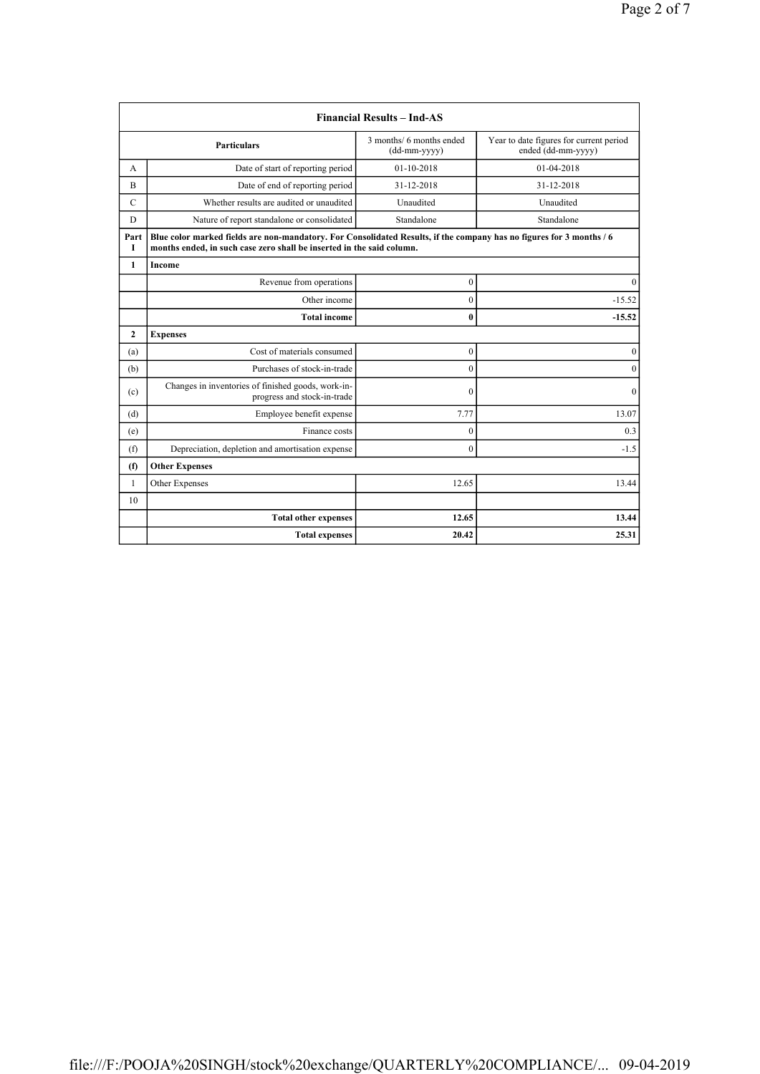|               |                                                                                                                                                                                               | <b>Financial Results - Ind-AS</b>        |                                                               |  |
|---------------|-----------------------------------------------------------------------------------------------------------------------------------------------------------------------------------------------|------------------------------------------|---------------------------------------------------------------|--|
|               | <b>Particulars</b>                                                                                                                                                                            | 3 months/ 6 months ended<br>(dd-mm-yyyy) | Year to date figures for current period<br>ended (dd-mm-yyyy) |  |
| А             | Date of start of reporting period                                                                                                                                                             | 01-10-2018                               | 01-04-2018                                                    |  |
| B             | Date of end of reporting period                                                                                                                                                               | 31-12-2018                               | 31-12-2018                                                    |  |
| $\mathcal{C}$ | Whether results are audited or unaudited                                                                                                                                                      | Unaudited                                | Unaudited                                                     |  |
| D             | Nature of report standalone or consolidated                                                                                                                                                   | Standalone                               | Standalone                                                    |  |
| Part<br>I     | Blue color marked fields are non-mandatory. For Consolidated Results, if the company has no figures for 3 months / 6<br>months ended, in such case zero shall be inserted in the said column. |                                          |                                                               |  |
| 1             | Income                                                                                                                                                                                        |                                          |                                                               |  |
|               | Revenue from operations                                                                                                                                                                       | $\boldsymbol{0}$                         | $\Omega$                                                      |  |
|               | Other income                                                                                                                                                                                  | $\mathbf{0}$                             | $-15.52$                                                      |  |
|               | <b>Total income</b>                                                                                                                                                                           | $\bf{0}$                                 | $-15.52$                                                      |  |
| $\mathbf{2}$  | <b>Expenses</b>                                                                                                                                                                               |                                          |                                                               |  |
| (a)           | Cost of materials consumed                                                                                                                                                                    | $\boldsymbol{0}$                         | $\boldsymbol{0}$                                              |  |
| (b)           | Purchases of stock-in-trade                                                                                                                                                                   | $\boldsymbol{0}$                         | $\mathbf{0}$                                                  |  |
| (c)           | Changes in inventories of finished goods, work-in-<br>progress and stock-in-trade                                                                                                             | $\theta$                                 | $\mathbf{0}$                                                  |  |
| (d)           | Employee benefit expense                                                                                                                                                                      | 7.77                                     | 13.07                                                         |  |
| (e)           | Finance costs                                                                                                                                                                                 | $\boldsymbol{0}$                         | 0.3                                                           |  |
| (f)           | Depreciation, depletion and amortisation expense                                                                                                                                              | $\mathbf{0}$                             | $-1.5$                                                        |  |
| (f)           | <b>Other Expenses</b>                                                                                                                                                                         |                                          |                                                               |  |
| $\mathbf{1}$  | Other Expenses                                                                                                                                                                                | 12.65                                    | 13.44                                                         |  |
| 10            |                                                                                                                                                                                               |                                          |                                                               |  |
|               | <b>Total other expenses</b>                                                                                                                                                                   | 12.65                                    | 13.44                                                         |  |
|               | <b>Total expenses</b>                                                                                                                                                                         | 20.42                                    | 25.31                                                         |  |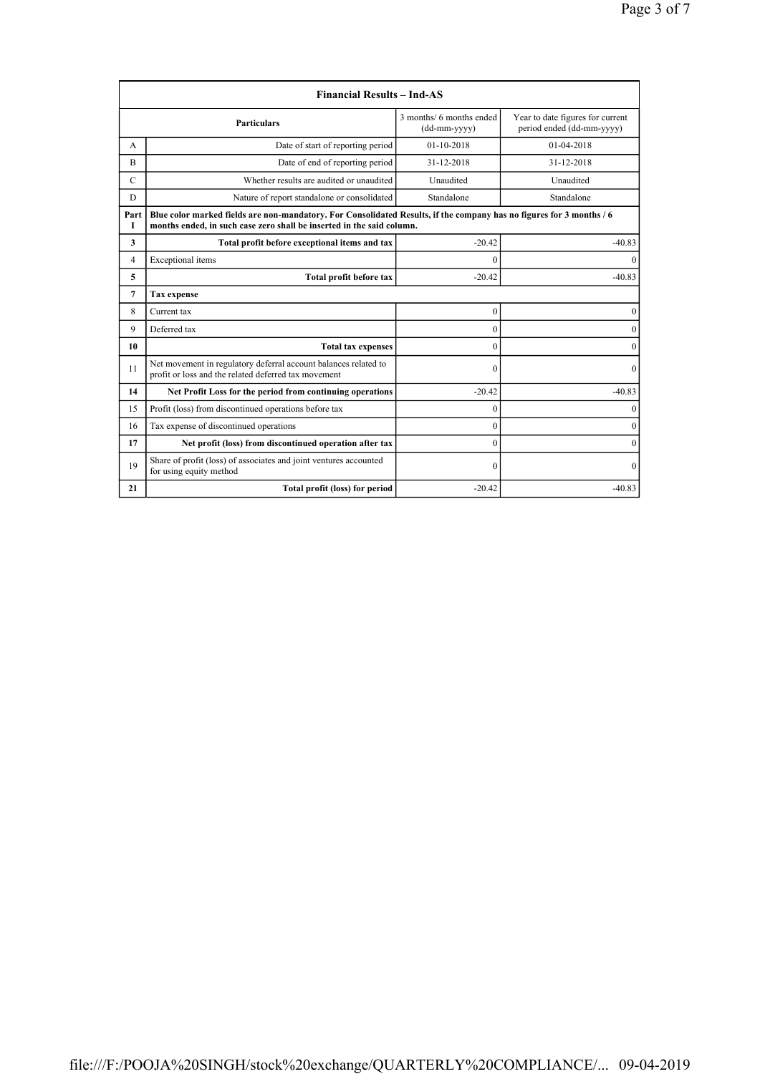|               | <b>Financial Results - Ind-AS</b>                                                                                                                                                             |                                          |                                                               |  |
|---------------|-----------------------------------------------------------------------------------------------------------------------------------------------------------------------------------------------|------------------------------------------|---------------------------------------------------------------|--|
|               | <b>Particulars</b>                                                                                                                                                                            | 3 months/ 6 months ended<br>(dd-mm-yyyy) | Year to date figures for current<br>period ended (dd-mm-yyyy) |  |
| A             | Date of start of reporting period                                                                                                                                                             | $01-10-2018$                             | 01-04-2018                                                    |  |
| B             | Date of end of reporting period                                                                                                                                                               | 31-12-2018                               | 31-12-2018                                                    |  |
| $\mathcal{C}$ | Whether results are audited or unaudited                                                                                                                                                      | Unaudited                                | Unaudited                                                     |  |
| D             | Nature of report standalone or consolidated                                                                                                                                                   | Standalone                               | Standalone                                                    |  |
| Part<br>Т     | Blue color marked fields are non-mandatory. For Consolidated Results, if the company has no figures for 3 months / 6<br>months ended, in such case zero shall be inserted in the said column. |                                          |                                                               |  |
| 3             | Total profit before exceptional items and tax                                                                                                                                                 | $-20.42$                                 | $-40.83$                                                      |  |
| 4             | Exceptional items                                                                                                                                                                             | $\Omega$                                 | $\Omega$                                                      |  |
| 5             | Total profit before tax                                                                                                                                                                       | $-20.42$                                 | $-40.83$                                                      |  |
| 7             | <b>Tax expense</b>                                                                                                                                                                            |                                          |                                                               |  |
| 8             | $\mathbf{0}$<br>Current tax                                                                                                                                                                   |                                          | 0                                                             |  |
| 9             | Deferred tax                                                                                                                                                                                  | $\mathbf{0}$                             | $\theta$                                                      |  |
| 10            | <b>Total tax expenses</b>                                                                                                                                                                     | $\theta$                                 | $\mathbf{0}$                                                  |  |
| 11            | Net movement in regulatory deferral account balances related to<br>profit or loss and the related deferred tax movement                                                                       | $\theta$                                 | $\mathbf{0}$                                                  |  |
| 14            | Net Profit Loss for the period from continuing operations                                                                                                                                     | $-20.42$                                 | $-40.83$                                                      |  |
| 15            | Profit (loss) from discontinued operations before tax                                                                                                                                         | $\theta$                                 | $\theta$                                                      |  |
| 16            | Tax expense of discontinued operations                                                                                                                                                        | $\theta$                                 | $\mathbf{0}$                                                  |  |
| 17            | Net profit (loss) from discontinued operation after tax                                                                                                                                       | $\theta$                                 | $\Omega$                                                      |  |
| 19            | Share of profit (loss) of associates and joint ventures accounted<br>for using equity method                                                                                                  | $\Omega$                                 | $\Omega$                                                      |  |
| 21            | Total profit (loss) for period                                                                                                                                                                | $-20.42$                                 | $-40.83$                                                      |  |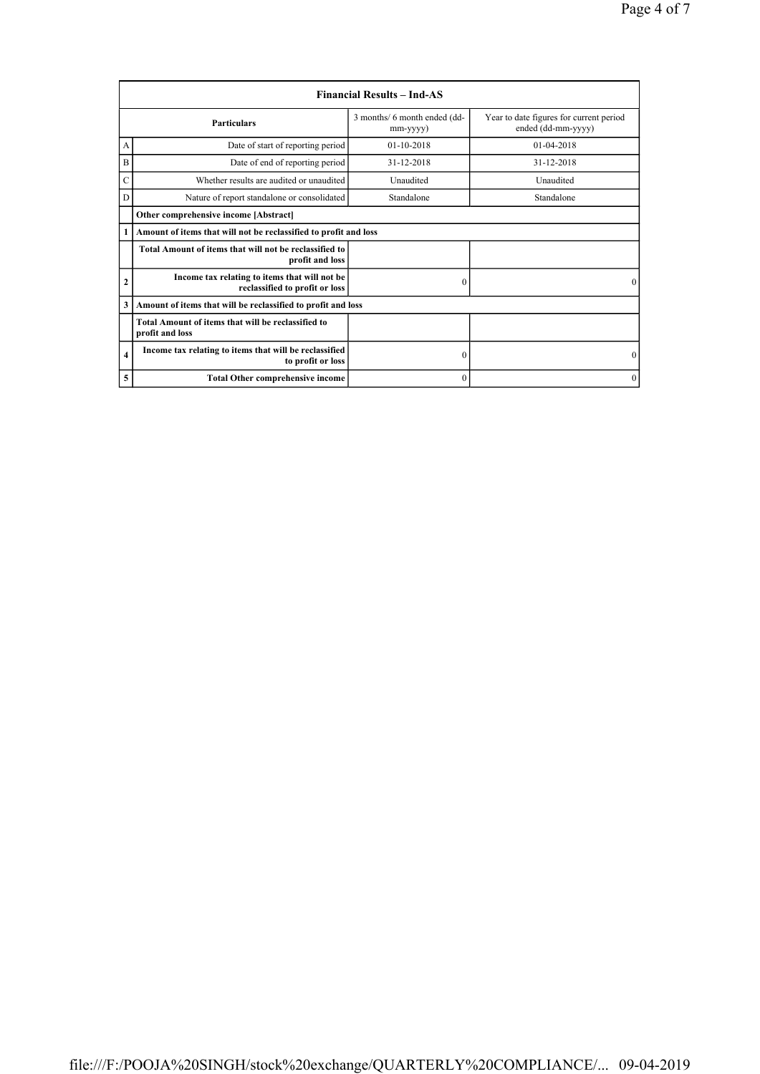|                | <b>Financial Results – Ind-AS</b>                                               |                                          |                                                               |
|----------------|---------------------------------------------------------------------------------|------------------------------------------|---------------------------------------------------------------|
|                | <b>Particulars</b>                                                              | 3 months/ 6 month ended (dd-<br>mm-yyyy) | Year to date figures for current period<br>ended (dd-mm-yyyy) |
| А              | Date of start of reporting period                                               | 01-10-2018                               | $01-04-2018$                                                  |
| B              | Date of end of reporting period                                                 | 31-12-2018                               | 31-12-2018                                                    |
| Ċ              | Whether results are audited or unaudited                                        | Unaudited                                | Unaudited                                                     |
| D              | Nature of report standalone or consolidated                                     | Standalone                               | Standalone                                                    |
|                | Other comprehensive income [Abstract]                                           |                                          |                                                               |
| 1              | Amount of items that will not be reclassified to profit and loss                |                                          |                                                               |
|                | Total Amount of items that will not be reclassified to<br>profit and loss       |                                          |                                                               |
| $\overline{2}$ | Income tax relating to items that will not be<br>reclassified to profit or loss | $\theta$                                 | $\Omega$                                                      |
| 3              | Amount of items that will be reclassified to profit and loss                    |                                          |                                                               |
|                | Total Amount of items that will be reclassified to<br>profit and loss           |                                          |                                                               |
| $\overline{4}$ | Income tax relating to items that will be reclassified<br>to profit or loss     | $\boldsymbol{0}$                         | $\mathbf{0}$                                                  |
| 5              | <b>Total Other comprehensive income</b>                                         | $\mathbf{0}$                             | $\mathbf{0}$                                                  |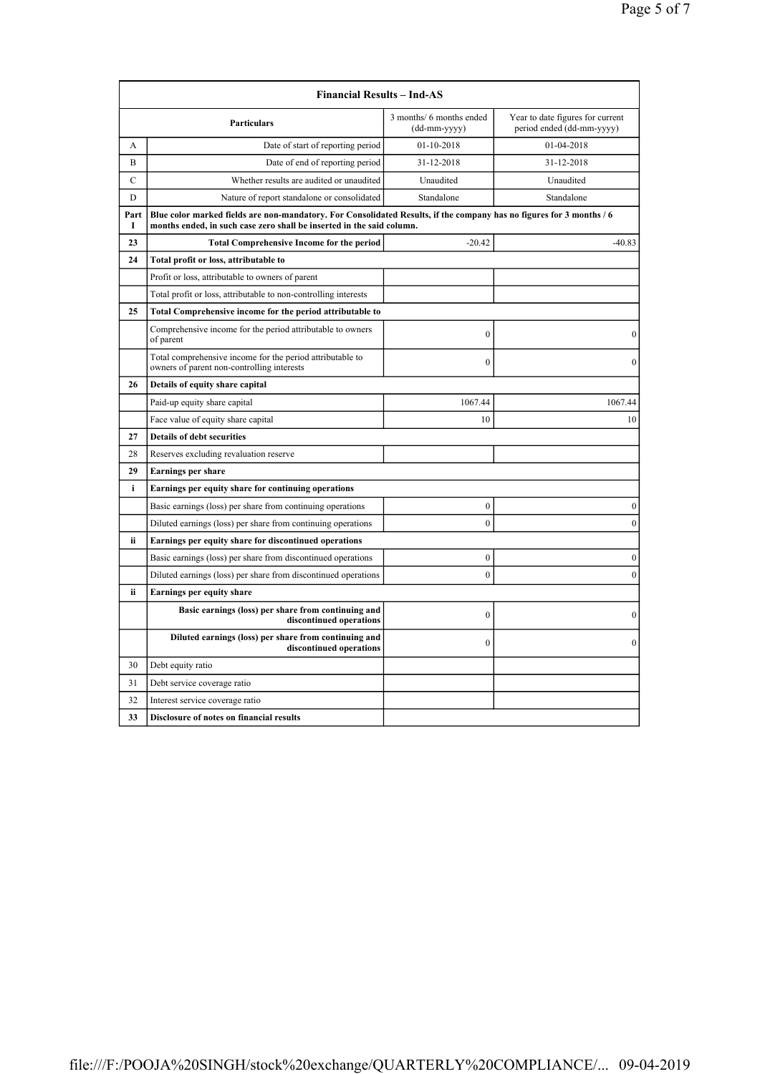|                                        | <b>Financial Results - Ind-AS</b>                                                                                                                                                             |                                          |                                                               |  |
|----------------------------------------|-----------------------------------------------------------------------------------------------------------------------------------------------------------------------------------------------|------------------------------------------|---------------------------------------------------------------|--|
|                                        | <b>Particulars</b>                                                                                                                                                                            | 3 months/ 6 months ended<br>(dd-mm-yyyy) | Year to date figures for current<br>period ended (dd-mm-yyyy) |  |
| А                                      | Date of start of reporting period                                                                                                                                                             | 01-10-2018                               | 01-04-2018                                                    |  |
| B                                      | Date of end of reporting period                                                                                                                                                               | 31-12-2018                               | 31-12-2018                                                    |  |
| $\mathbf C$                            | Whether results are audited or unaudited                                                                                                                                                      | Unaudited                                | Unaudited                                                     |  |
| D                                      | Nature of report standalone or consolidated                                                                                                                                                   | Standalone                               | Standalone                                                    |  |
| Part<br>I                              | Blue color marked fields are non-mandatory. For Consolidated Results, if the company has no figures for 3 months / 6<br>months ended, in such case zero shall be inserted in the said column. |                                          |                                                               |  |
| 23                                     | <b>Total Comprehensive Income for the period</b>                                                                                                                                              | $-20.42$                                 | $-40.83$                                                      |  |
| 24                                     | Total profit or loss, attributable to                                                                                                                                                         |                                          |                                                               |  |
|                                        | Profit or loss, attributable to owners of parent                                                                                                                                              |                                          |                                                               |  |
|                                        | Total profit or loss, attributable to non-controlling interests                                                                                                                               |                                          |                                                               |  |
| 25                                     | Total Comprehensive income for the period attributable to                                                                                                                                     |                                          |                                                               |  |
|                                        | Comprehensive income for the period attributable to owners<br>of parent                                                                                                                       | $\mathbf{0}$                             | $\mathbf{0}$                                                  |  |
|                                        | Total comprehensive income for the period attributable to<br>owners of parent non-controlling interests                                                                                       | $\theta$                                 | $\theta$                                                      |  |
| 26                                     | Details of equity share capital                                                                                                                                                               |                                          |                                                               |  |
|                                        | Paid-up equity share capital                                                                                                                                                                  | 1067.44                                  | 1067.44                                                       |  |
|                                        | Face value of equity share capital                                                                                                                                                            | 10                                       | 10                                                            |  |
| 27                                     | <b>Details of debt securities</b>                                                                                                                                                             |                                          |                                                               |  |
| 28                                     | Reserves excluding revaluation reserve                                                                                                                                                        |                                          |                                                               |  |
| 29                                     | <b>Earnings per share</b>                                                                                                                                                                     |                                          |                                                               |  |
| i                                      | Earnings per equity share for continuing operations                                                                                                                                           |                                          |                                                               |  |
|                                        | Basic earnings (loss) per share from continuing operations                                                                                                                                    | $\boldsymbol{0}$                         | $\boldsymbol{0}$                                              |  |
|                                        | Diluted earnings (loss) per share from continuing operations                                                                                                                                  | $\mathbf{0}$                             | $\boldsymbol{0}$                                              |  |
| ii                                     | Earnings per equity share for discontinued operations                                                                                                                                         |                                          |                                                               |  |
|                                        | Basic earnings (loss) per share from discontinued operations                                                                                                                                  | $\boldsymbol{0}$                         | $\boldsymbol{0}$                                              |  |
|                                        | Diluted earnings (loss) per share from discontinued operations                                                                                                                                | $\theta$                                 | $\boldsymbol{0}$                                              |  |
| ii<br><b>Earnings per equity share</b> |                                                                                                                                                                                               |                                          |                                                               |  |
|                                        | Basic earnings (loss) per share from continuing and<br>discontinued operations                                                                                                                | $\boldsymbol{0}$                         | $\boldsymbol{0}$                                              |  |
|                                        | Diluted earnings (loss) per share from continuing and<br>discontinued operations                                                                                                              | $\theta$                                 | $\mathbf{0}$                                                  |  |
| 30                                     | Debt equity ratio                                                                                                                                                                             |                                          |                                                               |  |
| 31                                     | Debt service coverage ratio                                                                                                                                                                   |                                          |                                                               |  |
| 32                                     | Interest service coverage ratio                                                                                                                                                               |                                          |                                                               |  |
| 33                                     | Disclosure of notes on financial results                                                                                                                                                      |                                          |                                                               |  |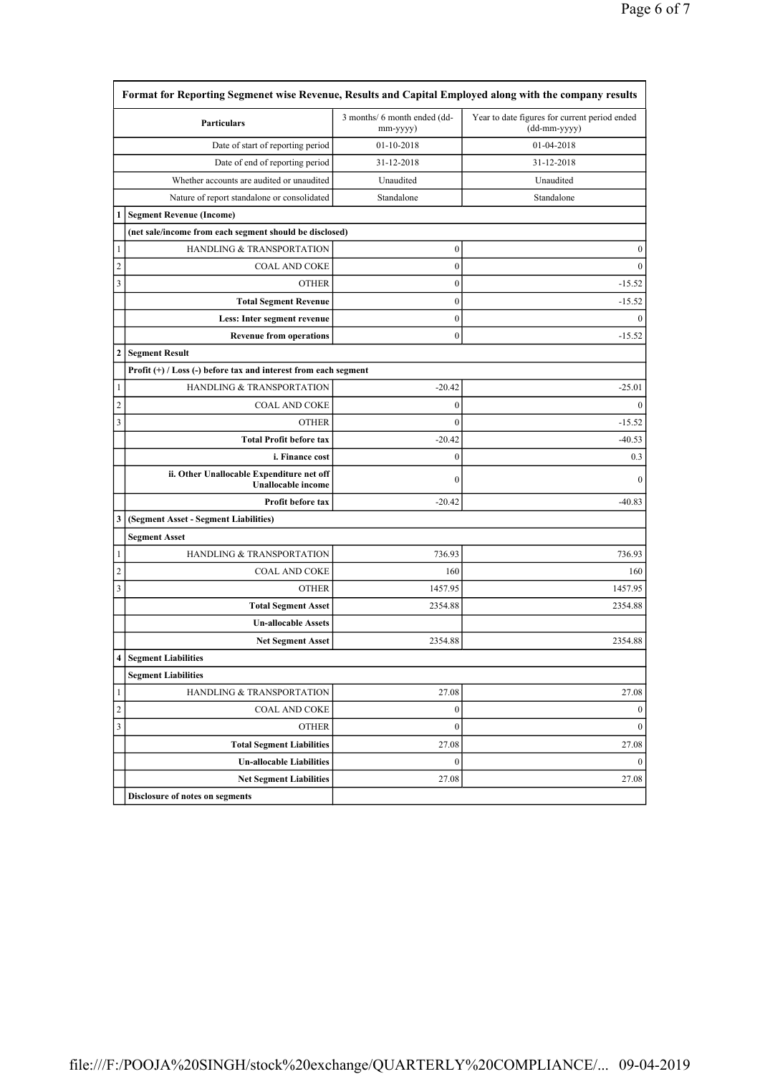|                       | Particulars                                                            | 3 months/ 6 month ended (dd-<br>mm-yyyy) | Year to date figures for current period ended<br>(dd-mm-yyyy) |
|-----------------------|------------------------------------------------------------------------|------------------------------------------|---------------------------------------------------------------|
|                       | Date of start of reporting period                                      | 01-10-2018                               | 01-04-2018                                                    |
|                       | Date of end of reporting period                                        | 31-12-2018                               | 31-12-2018                                                    |
|                       | Whether accounts are audited or unaudited                              | Unaudited                                | Unaudited                                                     |
|                       | Nature of report standalone or consolidated                            | Standalone                               | Standalone                                                    |
| 1                     | <b>Segment Revenue (Income)</b>                                        |                                          |                                                               |
|                       | (net sale/income from each segment should be disclosed)                |                                          |                                                               |
| 1                     | HANDLING & TRANSPORTATION                                              | $\boldsymbol{0}$                         | $\boldsymbol{0}$                                              |
| $\overline{c}$        | <b>COAL AND COKE</b>                                                   | $\boldsymbol{0}$                         | $\boldsymbol{0}$                                              |
| 3                     | <b>OTHER</b>                                                           | $\boldsymbol{0}$                         | $-15.52$                                                      |
|                       | <b>Total Segment Revenue</b>                                           | $\boldsymbol{0}$                         | $-15.52$                                                      |
|                       | Less: Inter segment revenue                                            | $\boldsymbol{0}$                         | $\mathbf{0}$                                                  |
|                       | <b>Revenue from operations</b>                                         | $\boldsymbol{0}$                         | $-15.52$                                                      |
| 2                     | <b>Segment Result</b>                                                  |                                          |                                                               |
|                       | Profit $(+)$ / Loss $(-)$ before tax and interest from each segment    |                                          |                                                               |
| 1                     | HANDLING & TRANSPORTATION                                              | $-20.42$                                 | $-25.01$                                                      |
| $\overline{2}$        | <b>COAL AND COKE</b>                                                   | $\boldsymbol{0}$                         | $\mathbf{0}$                                                  |
| $\mathfrak{Z}$        | <b>OTHER</b>                                                           | $\mathbf{0}$                             | $-15.52$                                                      |
|                       | <b>Total Profit before tax</b>                                         | $-20.42$                                 | $-40.53$                                                      |
|                       | i. Finance cost                                                        | $\boldsymbol{0}$                         | 0.3                                                           |
|                       | ii. Other Unallocable Expenditure net off<br><b>Unallocable</b> income | $\boldsymbol{0}$                         | $\mathbf{0}$                                                  |
|                       | Profit before tax                                                      | $-20.42$                                 | $-40.83$                                                      |
| 3                     | (Segment Asset - Segment Liabilities)                                  |                                          |                                                               |
|                       | <b>Segment Asset</b>                                                   |                                          |                                                               |
| 1                     | HANDLING & TRANSPORTATION                                              | 736.93                                   | 736.93                                                        |
| $\overline{c}$        | <b>COAL AND COKE</b>                                                   | 160                                      | 160                                                           |
| 3                     | <b>OTHER</b>                                                           | 1457.95                                  | 1457.95                                                       |
|                       | <b>Total Segment Asset</b>                                             | 2354.88                                  | 2354.88                                                       |
|                       | <b>Un-allocable Assets</b>                                             |                                          |                                                               |
|                       | <b>Net Segment Asset</b>                                               | 2354.88                                  | 2354.88                                                       |
|                       | <b>Segment Liabilities</b>                                             |                                          |                                                               |
|                       | <b>Segment Liabilities</b>                                             |                                          |                                                               |
| 1                     | <b>HANDLING &amp; TRANSPORTATION</b>                                   | 27.08                                    | 27.08                                                         |
|                       | <b>COAL AND COKE</b>                                                   | $\boldsymbol{0}$                         | $\bf{0}$                                                      |
|                       | <b>OTHER</b>                                                           | $\mathbf{0}$                             | $\mathbf{0}$                                                  |
|                       |                                                                        |                                          |                                                               |
|                       | <b>Total Segment Liabilities</b>                                       | 27.08                                    |                                                               |
| $\boldsymbol{2}$<br>3 | <b>Un-allocable Liabilities</b>                                        | $\boldsymbol{0}$                         | 27.08<br>$\mathbf{0}$                                         |